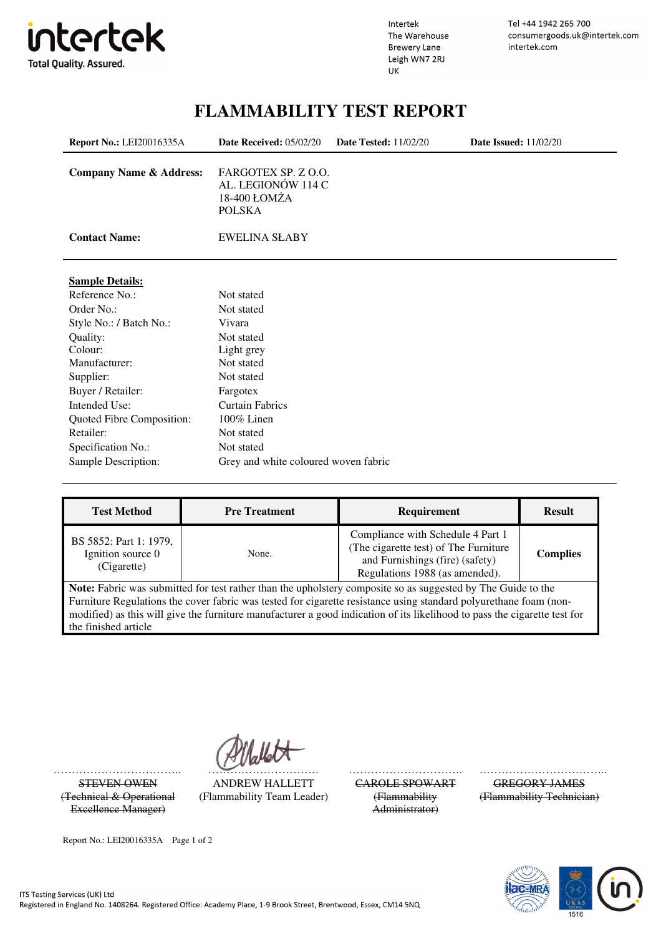

Intertek The Warehouse **Brewery Lane** Leigh WN7 2RJ UK

Tel +44 1942 265 700 consumergoods.uk@intertek.com intertek.com

## **FLAMMABILITY TEST REPORT**

| <b>Report No.: LEI20016335A</b>    | Date Received: 05/02/20                                                    | <b>Date Tested: 11/02/20</b> | <b>Date Issued:</b> 11/02/20 |
|------------------------------------|----------------------------------------------------------------------------|------------------------------|------------------------------|
| <b>Company Name &amp; Address:</b> | FARGOTEX SP. Z O.O.<br>AL. LEGIONÓW 114 C<br>18-400 ŁOMŻA<br><b>POLSKA</b> |                              |                              |
| <b>Contact Name:</b>               | <b>EWELINA SŁABY</b>                                                       |                              |                              |
| <b>Sample Details:</b>             |                                                                            |                              |                              |
| Reference No.:                     | Not stated                                                                 |                              |                              |
| Order No.:                         | Not stated                                                                 |                              |                              |
| Style No.: / Batch No.:            | Vivara                                                                     |                              |                              |
| Quality:                           | Not stated                                                                 |                              |                              |
| Colour:                            | Light grey                                                                 |                              |                              |
| Manufacturer:                      | Not stated                                                                 |                              |                              |
| Supplier:                          | Not stated                                                                 |                              |                              |
| Buyer / Retailer:                  | Fargotex                                                                   |                              |                              |
| Intended Use:                      | <b>Curtain Fabrics</b>                                                     |                              |                              |
| Quoted Fibre Composition:          | 100% Linen                                                                 |                              |                              |
| Retailer:                          | Not stated                                                                 |                              |                              |
| Specification No.:                 | Not stated                                                                 |                              |                              |
| Sample Description:                | Grey and white coloured woven fabric                                       |                              |                              |

| <b>Test Method</b>                                                                                                                                                                                                                | <b>Pre Treatment</b> | <b>Requirement</b>                                                                                                                              | <b>Result</b>   |  |
|-----------------------------------------------------------------------------------------------------------------------------------------------------------------------------------------------------------------------------------|----------------------|-------------------------------------------------------------------------------------------------------------------------------------------------|-----------------|--|
| BS 5852: Part 1: 1979,<br>Ignition source 0<br>(Cigarette)                                                                                                                                                                        | None.                | Compliance with Schedule 4 Part 1<br>(The cigarette test) of The Furniture<br>and Furnishings (fire) (safety)<br>Regulations 1988 (as amended). | <b>Complies</b> |  |
| Note: Fabric was submitted for test rather than the upholstery composite so as suggested by The Guide to the<br>Furniture Regulations the cover fabric was tested for cigarette resistance using standard polyurethane foam (non- |                      |                                                                                                                                                 |                 |  |
| the finished article                                                                                                                                                                                                              |                      | modified) as this will give the furniture manufacturer a good indication of its likelihood to pass the cigarette test for                       |                 |  |

(Technical & Operational Excellence Manager)

…………………………….. ………………………… …………………………. ……………………………...

STEVEN OWEN ANDREW HALLETT CAROLE SPOWART GREGORY JAMES (Flammability Team Leader) (Flammability

Administrator)

(Flammability Technician)



Report No.: LEI20016335A Page 1 of 2